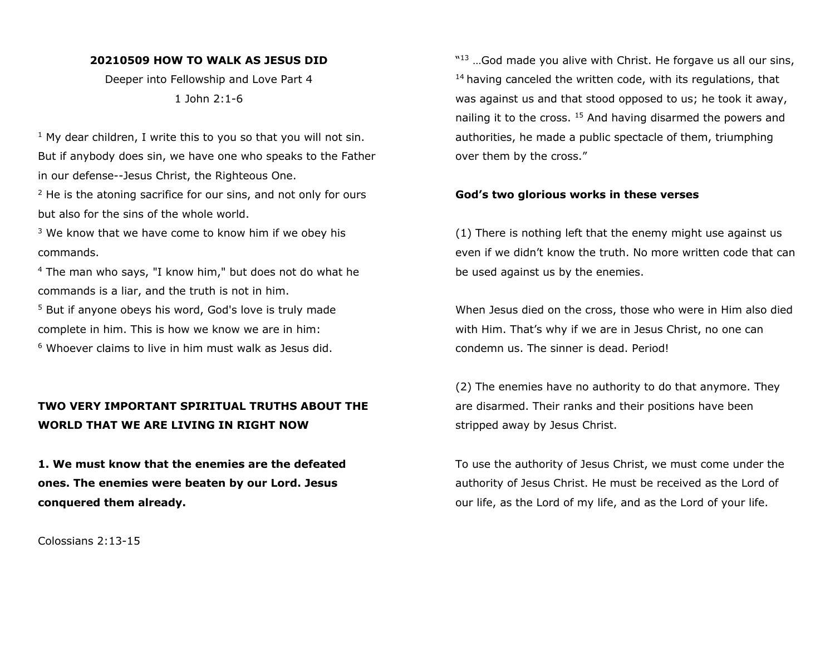#### **20210509 HOW TO WALK AS JESUS DID**

Deeper into Fellowship and Love Part 4 1 John 2:1-6

 $1$  My dear children, I write this to you so that you will not sin. But if anybody does sin, we have one who speaks to the Father in our defense--Jesus Christ, the Righteous One.

<sup>2</sup> He is the atoning sacrifice for our sins, and not only for ours but also for the sins of the whole world.

 $3$  We know that we have come to know him if we obey his commands.

<sup>4</sup> The man who says, "I know him," but does not do what he commands is a liar, and the truth is not in him.

<sup>5</sup> But if anyone obeys his word, God's love is truly made complete in him. This is how we know we are in him:

 $6$  Whoever claims to live in him must walk as Jesus did.

# **TWO VERY IMPORTANT SPIRITUAL TRUTHS ABOUT THE WORLD THAT WE ARE LIVING IN RIGHT NOW**

**1. We must know that the enemies are the defeated ones. The enemies were beaten by our Lord. Jesus conquered them already.**

Colossians 2:13-15

"<sup>13</sup> ... God made you alive with Christ. He forgave us all our sins,  $14$  having canceled the written code, with its regulations, that was against us and that stood opposed to us; he took it away, nailing it to the cross.  $15$  And having disarmed the powers and authorities, he made a public spectacle of them, triumphing over them by the cross."

#### **God's two glorious works in these verses**

(1) There is nothing left that the enemy might use against us even if we didn't know the truth. No more written code that can be used against us by the enemies.

When Jesus died on the cross, those who were in Him also died with Him. That's why if we are in Jesus Christ, no one can condemn us. The sinner is dead. Period!

(2) The enemies have no authority to do that anymore. They are disarmed. Their ranks and their positions have been stripped away by Jesus Christ.

To use the authority of Jesus Christ, we must come under the authority of Jesus Christ. He must be received as the Lord of our life, as the Lord of my life, and as the Lord of your life.